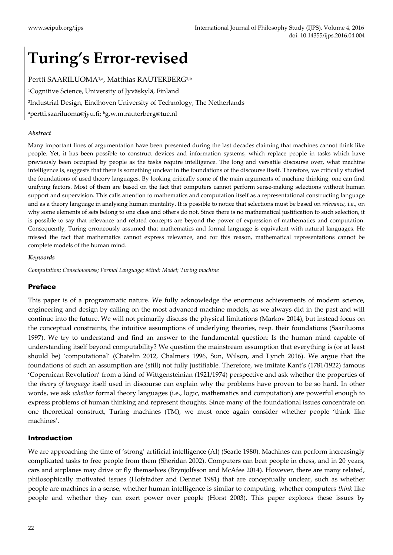# **Turing's Error**-**revised**

Pertti SAARILUOMA1,a, Matthias RAUTERBERG2,b <sup>1</sup>Cognitive Science, University of Jyväskylä, Finland <sup>2</sup>Industrial Design, Eindhoven University of Technology, The Netherlands <sup>a</sup>pertti.saariluoma@jyu.fi; <sup>b</sup>g.w.m.rauterberg@tue.nl

#### *Abstract*

Many important lines of argumentation have been presented during the last decades claiming that machines cannot think like people. Yet, it has been possible to construct devices and information systems, which replace people in tasks which have previously been occupied by people as the tasks require intelligence. The long and versatile discourse over, what machine intelligence is, suggests that there is something unclear in the foundations of the discourse itself. Therefore, we critically studied the foundations of used theory languages. By looking critically some of the main arguments of machine thinking, one can find unifying factors. Most of them are based on the fact that computers cannot perform sense-making selections without human support and supervision. This calls attention to mathematics and computation itself as a representational constructing language and as a theory language in analysing human mentality. It is possible to notice that selections must be based on *relevance*, i.e., on why some elements of sets belong to one class and others do not. Since there is no mathematical justification to such selection, it is possible to say that relevance and related concepts are beyond the power of expression of mathematics and computation. Consequently, Turing erroneously assumed that mathematics and formal language is equivalent with natural languages. He missed the fact that mathematics cannot express relevance, and for this reason, mathematical representations cannot be complete models of the human mind.

#### *Keywords*

*Computation; Consciousness; Formal Language; Mind; Model; Turing machine*

#### Preface

This paper is of a programmatic nature. We fully acknowledge the enormous achievements of modern science, engineering and design by calling on the most advanced machine models, as we always did in the past and will continue into the future. We will not primarily discuss the physical limitations (Markov 2014), but instead focus on the conceptual constraints, the intuitive assumptions of underlying theories, resp. their foundations (Saariluoma 1997). We try to understand and find an answer to the fundamental question: Is the human mind capable of understanding itself beyond computability? We question the mainstream assumption that everything is (or at least should be) 'computational' (Chatelin 2012, Chalmers 1996, Sun, Wilson, and Lynch 2016). We argue that the foundations of such an assumption are (still) not fully justifiable. Therefore, we imitate Kant's (1781/1922) famous 'Copernican Revolution' from a kind of Wittgensteinian (1921/1974) perspective and ask whether the properties of the *theory of language* itself used in discourse can explain why the problems have proven to be so hard. In other words, we ask *whether* formal theory languages (i.e., logic, mathematics and computation) are powerful enough to express problems of human thinking and represent thoughts. Since many of the foundational issues concentrate on one theoretical construct, Turing machines (TM), we must once again consider whether people 'think like machines'.

#### Introduction

We are approaching the time of 'strong' artificial intelligence (AI) (Searle 1980). Machines can perform increasingly complicated tasks to free people from them (Sheridan 2002). Computers can beat people in chess, and in 20 years, cars and airplanes may drive or fly themselves (Brynjolfsson and McAfee 2014). However, there are many related, philosophically motivated issues (Hofstadter and Dennet 1981) that are conceptually unclear, such as whether people are machines in a sense, whether human intelligence is similar to computing, whether computers *think* like people and whether they can exert power over people (Horst 2003). This paper explores these issues by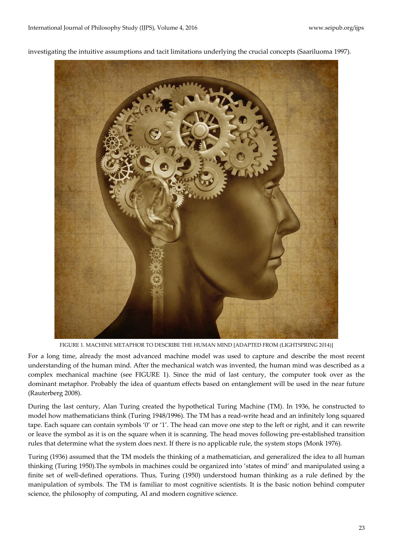

investigating the intuitive assumptions and tacit limitations underlying the crucial concepts (Saariluoma 1997).

FIGURE 1. MACHINE METAPHOR TO DESCRIBE THE HUMAN MIND [ADAPTED FROM (LIGHTSPRING 2014)]

<span id="page-1-0"></span>For a long time, already the most advanced machine model was used to capture and describe the most recent understanding of the human mind. After the mechanical watch was invented, the human mind was described as a complex mechanical machine (see [FIGURE 1\)](#page-1-0). Since the mid of last century, the computer took over as the dominant metaphor. Probably the idea of quantum effects based on entanglement will be used in the near future (Rauterberg 2008).

During the last century, Alan Turing created the hypothetical Turing Machine (TM). In 1936, he constructed to model how mathematicians think (Turing 1948/1996). The TM has a read-write head and an infinitely long squared tape. Each square can contain symbols '0' or '1'. The head can move one step to the left or right, and it can rewrite or leave the symbol as it is on the square when it is scanning. The head moves following pre-established transition rules that determine what the system does next. If there is no applicable rule, the system stops (Monk 1976)*.*

Turing (1936) assumed that the TM models the thinking of a mathematician, and generalized the idea to all human thinking (Turing 1950).The symbols in machines could be organized into 'states of mind' and manipulated using a finite set of well-defined operations. Thus, Turing (1950) understood human thinking as a rule defined by the manipulation of symbols. The TM is familiar to most cognitive scientists. It is the basic notion behind computer science, the philosophy of computing, AI and modern cognitive science.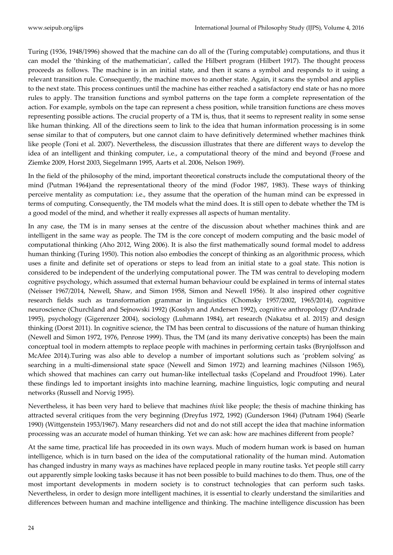Turing (1936, 1948/1996) showed that the machine can do all of the (Turing computable) computations, and thus it can model the 'thinking of the mathematician', called the Hilbert program (Hilbert 1917). The thought process proceeds as follows. The machine is in an initial state, and then it scans a symbol and responds to it using a relevant transition rule. Consequently, the machine moves to another state. Again, it scans the symbol and applies to the next state. This process continues until the machine has either reached a satisfactory end state or has no more rules to apply*.* The transition functions and symbol patterns on the tape form a complete representation of the action. For example, symbols on the tape can represent a chess position, while transition functions are chess moves representing possible actions. The crucial property of a TM is, thus, that it seems to represent reality in some sense like human thinking. All of the directions seem to link to the idea that human information processing is in some sense similar to that of computers, but one cannot claim to have definitively determined whether machines think like people (Toni et al. 2007). Nevertheless, the discussion illustrates that there are different ways to develop the idea of an intelligent and thinking computer, i.e., a computational theory of the mind and beyond (Froese and Ziemke 2009, Horst 2003, Siegelmann 1995, Aarts et al. 2006, Nelson 1969).

In the field of the philosophy of the mind, important theoretical constructs include the computational theory of the mind (Putman 1964)and the representational theory of the mind (Fodor 1987, 1983). These ways of thinking perceive mentality as computation: i.e., they assume that the operation of the human mind can be expressed in terms of computing. Consequently, the TM models what the mind does. It is still open to debate whether the TM is a good model of the mind, and whether it really expresses all aspects of human mentality.

In any case, the TM is in many senses at the centre of the discussion about whether machines think and are intelligent in the same way as people. The TM is the core concept of modern computing and the basic model of computational thinking (Aho 2012, Wing 2006). It is also the first mathematically sound formal model to address human thinking (Turing 1950). This notion also embodies the concept of thinking as an algorithmic process, which uses a finite and definite set of operations or steps to lead from an initial state to a goal state. This notion is considered to be independent of the underlying computational power. The TM was central to developing modern cognitive psychology, which assumed that external human behaviour could be explained in terms of internal states (Neisser 1967/2014, Newell, Shaw, and Simon 1958, Simon and Newell 1956). It also inspired other cognitive research fields such as transformation grammar in linguistics (Chomsky 1957/2002, 1965/2014), cognitive neuroscience (Churchland and Sejnowski 1992) (Kosslyn and Andersen 1992), cognitive anthropology (D'Andrade 1995), psychology (Gigerenzer 2004), sociology (Luhmann 1984), art research (Nakatsu et al. 2015) and design thinking (Dorst 2011). In cognitive science, the TM has been central to discussions of the nature of human thinking (Newell and Simon 1972, 1976, Penrose 1999). Thus, the TM (and its many derivative concepts) has been the main conceptual tool in modern attempts to replace people with machines in performing certain tasks (Brynjolfsson and McAfee 2014).Turing was also able to develop a number of important solutions such as 'problem solving' as searching in a multi-dimensional state space (Newell and Simon 1972) and learning machines (Nilsson 1965), which showed that machines can carry out human-like intellectual tasks (Copeland and Proudfoot 1996). Later these findings led to important insights into machine learning, machine linguistics, logic computing and neural networks (Russell and Norvig 1995).

Nevertheless, it has been very hard to believe that machines *think* like people; the thesis of machine thinking has attracted several critiques from the very beginning (Dreyfus 1972, 1992) (Gunderson 1964) (Putnam 1964) (Searle 1990) (Wittgenstein 1953/1967). Many researchers did not and do not still accept the idea that machine information processing was an accurate model of human thinking. Yet we can ask: how are machines different from people?

At the same time, practical life has proceeded in its own ways. Much of modern human work is based on human intelligence, which is in turn based on the idea of the computational rationality of the human mind. Automation has changed industry in many ways as machines have replaced people in many routine tasks. Yet people still carry out apparently simple looking tasks because it has not been possible to build machines to do them. Thus, one of the most important developments in modern society is to construct technologies that can perform such tasks. Nevertheless, in order to design more intelligent machines, it is essential to clearly understand the similarities and differences between human and machine intelligence and thinking. The machine intelligence discussion has been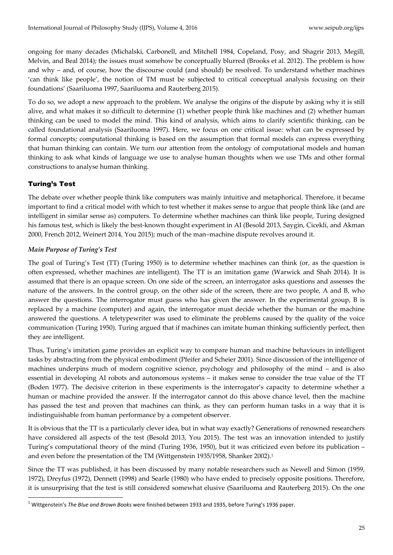ongoing for many decades (Michalski, Carbonell, and Mitchell 1984, Copeland, Posy, and Shagrir 2013, Megill, Melvin, and Beal 2014); the issues must somehow be conceptually blurred (Brooks et al. 2012). The problem is how and why – and, of course, how the discourse could (and should) be resolved. To understand whether machines 'can think like people', the notion of TM must be subjected to critical conceptual analysis focusing on their foundations' (Saariluoma 1997, Saariluoma and Rauterberg 2015).

To do so, we adopt a new approach to the problem. We analyse the origins of the dispute by asking why it is still alive, and what makes it so difficult to determine (1) whether people think like machines and (2) whether human thinking can be used to model the mind. This kind of analysis, which aims to clarify scientific thinking, can be called foundational analysis (Saariluoma 1997). Here, we focus on one critical issue: what can be expressed by formal concepts; computational thinking is based on the assumption that formal models can express everything that human thinking can contain. We turn our attention from the ontology of computational models and human thinking to ask what kinds of language we use to analyse human thoughts when we use TMs and other formal constructions to analyse human thinking.

## Turing's Test

 $\overline{a}$ 

The debate over whether people think like computers was mainly intuitive and metaphorical. Therefore, it became important to find a critical model with which to test whether it makes sense to argue that people think like (and are intelligent in similar sense as) computers. To determine whether machines can think like people, Turing designed his famous test, which is likely the best-known thought experiment in AI (Besold 2013, Saygin, Cicekli, and Akman 2000, French 2012, Weinert 2014, You 2015); much of the man–machine dispute revolves around it.

## *Main Purpose of Turing's Test*

The goal of Turing's Test (TT) (Turing 1950) is to determine whether machines can think (or, as the question is often expressed, whether machines are intelligent). The TT is an imitation game (Warwick and Shah 2014). It is assumed that there is an opaque screen. On one side of the screen, an interrogator asks questions and assesses the nature of the answers. In the control group, on the other side of the screen, there are two people, A and B, who answer the questions. The interrogator must guess who has given the answer. In the experimental group, B is replaced by a machine (computer) and again, the interrogator must decide whether the human or the machine answered the questions. A teletypewriter was used to eliminate the problems caused by the quality of the voice communication (Turing 1950). Turing argued that if machines can imitate human thinking sufficiently perfect, then they are intelligent.

Thus, Turing's imitation game provides an explicit way to compare human and machine behaviours in intelligent tasks by abstracting from the physical embodiment (Pfeifer and Scheier 2001). Since discussion of the intelligence of machines underpins much of modern cognitive science, psychology and philosophy of the mind – and is also essential in developing AI robots and autonomous systems – it makes sense to consider the true value of the TT (Boden 1977). The decisive criterion in these experiments is the interrogator's capacity to determine whether a human or machine provided the answer. If the interrogator cannot do this above chance level, then the machine has passed the test and proven that machines can think, as they can perform human tasks in a way that it is indistinguishable from human performance by a competent observer.

It is obvious that the TT is a particularly clever idea, but in what way exactly? Generations of renowned researchers have considered all aspects of the test (Besold 2013, You 2015). The test was an innovation intended to justify Turing's computational theory of the mind (Turing 1936, 1950), but it was criticized even before its publication – and even before the presentation of the TM (Wittgenstein 1935/1958, Shanker 2002). 1

Since the TT was published, it has been discussed by many notable researchers such as Newell and Simon (1959, 1972), Dreyfus (1972), Dennett (1998) and Searle (1980) who have ended to precisely opposite positions. Therefore, it is unsurprising that the test is still considered somewhat elusive (Saariluoma and Rauterberg 2015). On the one

<sup>1</sup> Wittgenstein's *The Blue and Brown Books* were finished between 1933 and 1935, before Turing's 1936 paper.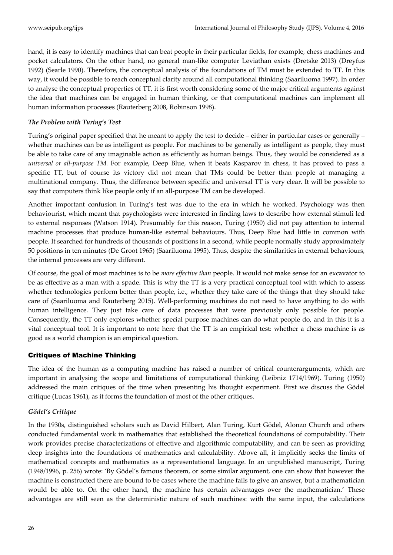hand, it is easy to identify machines that can beat people in their particular fields, for example, chess machines and pocket calculators. On the other hand, no general man-like computer Leviathan exists (Dretske 2013) (Dreyfus 1992) (Searle 1990). Therefore, the conceptual analysis of the foundations of TM must be extended to TT. In this way, it would be possible to reach conceptual clarity around all computational thinking (Saariluoma 1997). In order to analyse the conceptual properties of TT, it is first worth considering some of the major critical arguments against the idea that machines can be engaged in human thinking, or that computational machines can implement all human information processes (Rauterberg 2008, Robinson 1998).

## *The Problem with Turing's Test*

Turing's original paper specified that he meant to apply the test to decide – either in particular cases or generally – whether machines can be as intelligent as people. For machines to be generally as intelligent as people, they must be able to take care of any imaginable action as efficiently as human beings. Thus, they would be considered as a *universal or all-purpose TM.* For example, Deep Blue, when it beats Kasparov in chess, it has proved to pass a specific TT, but of course its victory did not mean that TMs could be better than people at managing a multinational company. Thus, the difference between specific and universal TT is very clear. It will be possible to say that computers think like people only if an all-purpose TM can be developed.

Another important confusion in Turing's test was due to the era in which he worked. Psychology was then behaviourist, which meant that psychologists were interested in finding laws to describe how external stimuli led to external responses (Watson 1914). Presumably for this reason, Turing (1950) did not pay attention to internal machine processes that produce human-like external behaviours. Thus, Deep Blue had little in common with people. It searched for hundreds of thousands of positions in a second, while people normally study approximately 50 positions in ten minutes (De Groot 1965) (Saariluoma 1995). Thus, despite the similarities in external behaviours, the internal processes are very different.

Of course, the goal of most machines is to be *more effective than* people. It would not make sense for an excavator to be as effective as a man with a spade. This is why the TT is a very practical conceptual tool with which to assess whether technologies perform better than people, i.e., whether they take care of the things that they should take care of (Saariluoma and Rauterberg 2015). Well-performing machines do not need to have anything to do with human intelligence. They just take care of data processes that were previously only possible for people. Consequently, the TT only explores whether special purpose machines can do what people do, and in this it is a vital conceptual tool. It is important to note here that the TT is an empirical test: whether a chess machine is as good as a world champion is an empirical question.

## Critiques of Machine Thinking

The idea of the human as a computing machine has raised a number of critical counterarguments, which are important in analysing the scope and limitations of computational thinking (Leibniz 1714/1969). Turing (1950) addressed the main critiques of the time when presenting his thought experiment. First we discuss the Gödel critique (Lucas 1961), as it forms the foundation of most of the other critiques.

#### *Gödel's Critique*

In the 1930s, distinguished scholars such as David Hilbert, Alan Turing, Kurt Gödel, Alonzo Church and others conducted fundamental work in mathematics that established the theoretical foundations of computability. Their work provides precise characterizations of effective and algorithmic computability, and can be seen as providing deep insights into the foundations of mathematics and calculability. Above all, it implicitly seeks the limits of mathematical concepts and mathematics as a representational language. In an unpublished manuscript, Turing (1948/1996, p. 256) wrote: 'By Gödel's famous theorem, or some similar argument, one can show that however the machine is constructed there are bound to be cases where the machine fails to give an answer, but a mathematician would be able to. On the other hand, the machine has certain advantages over the mathematician.' These advantages are still seen as the deterministic nature of such machines: with the same input, the calculations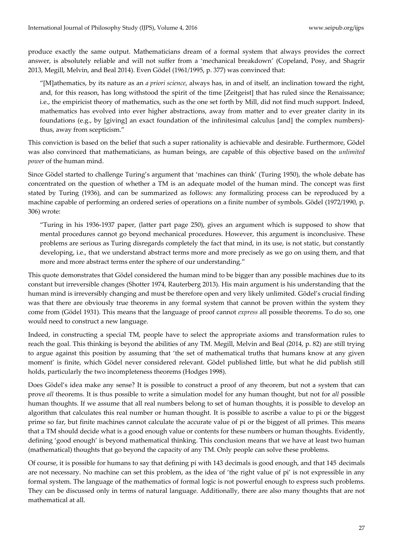produce exactly the same output. Mathematicians dream of a formal system that always provides the correct answer, is absolutely reliable and will not suffer from a 'mechanical breakdown' (Copeland, Posy, and Shagrir 2013, Megill, Melvin, and Beal 2014). Even Gödel (1961/1995, p. 377) was convinced that:

'[M]athematics, by its nature as an *a priori science*, always has, in and of itself, an inclination toward the right, and, for this reason, has long withstood the spirit of the time [Zeitgeist] that has ruled since the Renaissance; i.e., the empiricist theory of mathematics, such as the one set forth by Mill, did not find much support. Indeed, mathematics has evolved into ever higher abstractions, away from matter and to ever greater clarity in its foundations (e.g., by [giving] an exact foundation of the infinitesimal calculus [and] the complex numbers) thus, away from scepticism.'

This conviction is based on the belief that such a super rationality is achievable and desirable. Furthermore, Gödel was also convinced that mathematicians, as human beings, are capable of this objective based on the *unlimited power* of the human mind.

Since Gödel started to challenge Turing's argument that 'machines can think' (Turing 1950), the whole debate has concentrated on the question of whether a TM is an adequate model of the human mind. The concept was first stated by Turing (1936), and can be summarized as follows: any formalizing process can be reproduced by a machine capable of performing an ordered series of operations on a finite number of symbols. Gödel (1972/1990, p. 306) wrote:

'Turing in his 1936-1937 paper, (latter part page 250), gives an argument which is supposed to show that mental procedures cannot go beyond mechanical procedures. However, this argument is inconclusive. These problems are serious as Turing disregards completely the fact that mind, in its use, is not static, but constantly developing, i.e., that we understand abstract terms more and more precisely as we go on using them, and that more and more abstract terms enter the sphere of our understanding.'

This quote demonstrates that Gödel considered the human mind to be bigger than any possible machines due to its constant but irreversible changes (Shotter 1974, Rauterberg 2013). His main argument is his understanding that the human mind is irreversibly changing and must be therefore open and very likely unlimited. Gödel's crucial finding was that there are obviously true theorems in any formal system that cannot be proven within the system they come from (Gödel 1931). This means that the language of proof cannot *express* all possible theorems. To do so, one would need to construct a new language.

Indeed, in constructing a special TM, people have to select the appropriate axioms and transformation rules to reach the goal. This thinking is beyond the abilities of any TM. Megill, Melvin and Beal (2014, p. 82) are still trying to argue against this position by assuming that 'the set of mathematical truths that humans know at any given moment' is finite, which Gödel never considered relevant. Gödel published little, but what he did publish still holds, particularly the two incompleteness theorems (Hodges 1998).

Does Gödel's idea make any sense? It is possible to construct a proof of any theorem, but not a system that can prove *all* theorems. It is thus possible to write a simulation model for any human thought, but not for *all* possible human thoughts. If we assume that all real numbers belong to set of human thoughts, it is possible to develop an algorithm that calculates this real number or human thought. It is possible to ascribe a value to pi or the biggest prime so far, but finite machines cannot calculate the accurate value of pi or the biggest of all primes. This means that a TM should decide what is a good enough value or contents for these numbers or human thoughts. Evidently, defining 'good enough' is beyond mathematical thinking. This conclusion means that we have at least two human (mathematical) thoughts that go beyond the capacity of any TM. Only people can solve these problems.

Of course, it is possible for humans to say that defining pi with 143 decimals is good enough, and that 145 decimals are not necessary. No machine can set this problem, as the idea of 'the right value of pi' is not expressible in any formal system. The language of the mathematics of formal logic is not powerful enough to express such problems. They can be discussed only in terms of natural language. Additionally, there are also many thoughts that are not mathematical at all.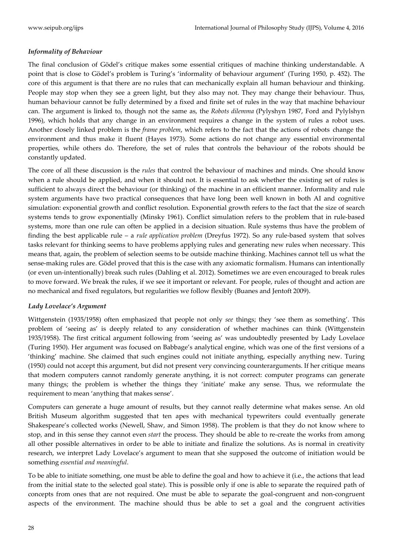## *Informality of Behaviour*

The final conclusion of Gödel's critique makes some essential critiques of machine thinking understandable. A point that is close to Gödel's problem is Turing's 'informality of behaviour argument' (Turing 1950, p. 452). The core of this argument is that there are no rules that can mechanically explain all human behaviour and thinking. People may stop when they see a green light, but they also may not. They may change their behaviour. Thus, human behaviour cannot be fully determined by a fixed and finite set of rules in the way that machine behaviour can. The argument is linked to, though not the same as, the *Robots dilemma* (Pylyshyn 1987, Ford and Pylylshyn 1996), which holds that any change in an environment requires a change in the system of rules a robot uses. Another closely linked problem is the *frame problem*, which refers to the fact that the actions of robots change the environment and thus make it fluent (Hayes 1973). Some actions do not change any essential environmental properties, while others do. Therefore, the set of rules that controls the behaviour of the robots should be constantly updated.

The core of all these discussion is the *rules* that control the behaviour of machines and minds. One should know when a rule should be applied, and when it should not. It is essential to ask whether the existing set of rules is sufficient to always direct the behaviour (or thinking) of the machine in an efficient manner. Informality and rule system arguments have two practical consequences that have long been well known in both AI and cognitive simulation: exponential growth and conflict resolution. Exponential growth refers to the fact that the size of search systems tends to grow exponentially (Minsky 1961). Conflict simulation refers to the problem that in rule-based systems, more than one rule can often be applied in a decision situation. Rule systems thus have the problem of finding the best applicable rule – a *rule application problem* (Dreyfus 1972). So any rule-based system that solves tasks relevant for thinking seems to have problems applying rules and generating new rules when necessary. This means that, again, the problem of selection seems to be outside machine thinking. Machines cannot tell us what the sense-making rules are. Gödel proved that this is the case with any axiomatic formalism. Humans can intentionally (or even un-intentionally) break such rules (Dahling et al. 2012). Sometimes we are even encouraged to break rules to move forward. We break the rules, if we see it important or relevant. For people, rules of thought and action are no mechanical and fixed regulators, but regularities we follow flexibly (Buanes and Jentoft 2009).

#### *Lady Lovelace's Argument*

Wittgenstein (1935/1958) often emphasized that people not only *see* things; they 'see them as something'. This problem of 'seeing as' is deeply related to any consideration of whether machines can think (Wittgenstein 1935/1958). The first critical argument following from 'seeing as' was undoubtedly presented by Lady Lovelace (Turing 1950). Her argument was focused on Babbage's analytical engine, which was one of the first versions of a 'thinking' machine. She claimed that such engines could not initiate anything, especially anything new. Turing (1950) could not accept this argument, but did not present very convincing counterarguments. If her critique means that modern computers cannot randomly generate anything, it is not correct: computer programs can generate many things; the problem is whether the things they 'initiate' make any sense. Thus, we reformulate the requirement to mean 'anything that makes sense'.

Computers can generate a huge amount of results, but they cannot really determine what makes sense. An old British Museum algorithm suggested that ten apes with mechanical typewriters could eventually generate Shakespeare's collected works (Newell, Shaw, and Simon 1958). The problem is that they do not know where to stop, and in this sense they cannot even *start* the process. They should be able to re-create the works from among all other possible alternatives in order to be able to initiate and finalize the solutions. As is normal in creativity research, we interpret Lady Lovelace's argument to mean that she supposed the outcome of initiation would be something *essential and meaningful*.

To be able to initiate something, one must be able to define the goal and how to achieve it (i.e., the actions that lead from the initial state to the selected goal state). This is possible only if one is able to separate the required path of concepts from ones that are not required. One must be able to separate the goal-congruent and non-congruent aspects of the environment. The machine should thus be able to set a goal and the congruent activities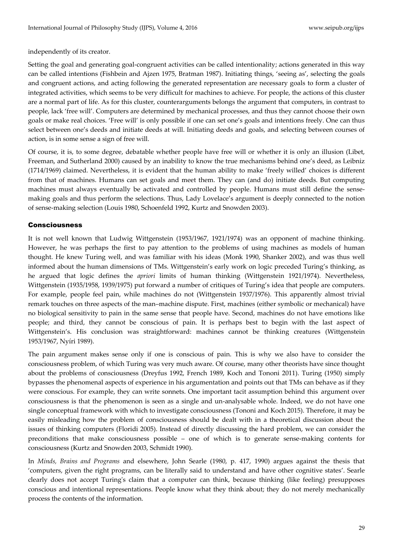independently of its creator.

Setting the goal and generating goal-congruent activities can be called intentionality; actions generated in this way can be called intentions (Fishbein and Ajzen 1975, Bratman 1987). Initiating things, 'seeing as', selecting the goals and congruent actions, and acting following the generated representation are necessary goals to form a cluster of integrated activities, which seems to be very difficult for machines to achieve. For people, the actions of this cluster are a normal part of life. As for this cluster, counterarguments belongs the argument that computers, in contrast to people, lack 'free will'. Computers are determined by mechanical processes, and thus they cannot choose their own goals or make real choices. 'Free will' is only possible if one can set one's goals and intentions freely. One can thus select between one's deeds and initiate deeds at will. Initiating deeds and goals, and selecting between courses of action, is in some sense a sign of free will.

Of course, it is, to some degree, debatable whether people have free will or whether it is only an illusion (Libet, Freeman, and Sutherland 2000) caused by an inability to know the true mechanisms behind one's deed, as Leibniz (1714/1969) claimed. Nevertheless, it is evident that the human ability to make 'freely willed' choices is different from that of machines. Humans can set goals and meet them. They can (and do) initiate deeds. But computing machines must always eventually be activated and controlled by people. Humans must still define the sensemaking goals and thus perform the selections. Thus, Lady Lovelace's argument is deeply connected to the notion of sense-making selection (Louis 1980, Schoenfeld 1992, Kurtz and Snowden 2003).

## Consciousness

It is not well known that Ludwig Wittgenstein (1953/1967, 1921/1974) was an opponent of machine thinking. However, he was perhaps the first to pay attention to the problems of using machines as models of human thought. He knew Turing well, and was familiar with his ideas (Monk 1990, Shanker 2002), and was thus well informed about the human dimensions of TMs. Wittgenstein's early work on logic preceded Turing's thinking, as he argued that logic defines the *apriori* limits of human thinking (Wittgenstein 1921/1974). Nevertheless, Wittgenstein (1935/1958, 1939/1975) put forward a number of critiques of Turing's idea that people are computers. For example, people feel pain, while machines do not (Wittgenstein 1937/1976). This apparently almost trivial remark touches on three aspects of the man–machine dispute. First, machines (either symbolic or mechanical) have no biological sensitivity to pain in the same sense that people have. Second, machines do not have emotions like people; and third, they cannot be conscious of pain. It is perhaps best to begin with the last aspect of Wittgenstein's. His conclusion was straightforward: machines cannot be thinking creatures (Wittgenstein 1953/1967, Nyíri 1989).

The pain argument makes sense only if one is conscious of pain. This is why we also have to consider the consciousness problem, of which Turing was very much aware. Of course, many other theorists have since thought about the problems of consciousness (Dreyfus 1992, French 1989, Koch and Tononi 2011). Turing (1950) simply bypasses the phenomenal aspects of experience in his argumentation and points out that TMs can behave as if they were conscious. For example, they can write sonnets. One important tacit assumption behind this argument over consciousness is that the phenomenon is seen as a single and un-analysable whole. Indeed, we do not have one single conceptual framework with which to investigate consciousness (Tononi and Koch 2015). Therefore, it may be easily misleading how the problem of consciousness should be dealt with in a theoretical discussion about the issues of thinking computers (Floridi 2005). Instead of directly discussing the hard problem, we can consider the preconditions that make consciousness possible – one of which is to generate sense-making contents for consciousness (Kurtz and Snowden 2003, Schmidt 1990).

In *Minds, Brains and Programs* and elsewhere, John Searle (1980, p. 417, 1990) argues against the thesis that 'computers, given the right programs, can be literally said to understand and have other cognitive states'. Searle clearly does not accept Turing's claim that a computer can think, because thinking (like feeling) presupposes conscious and intentional representations. People know what they think about; they do not merely mechanically process the contents of the information.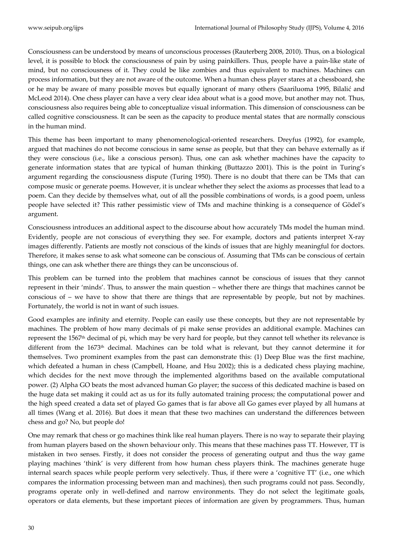Consciousness can be understood by means of unconscious processes (Rauterberg 2008, 2010). Thus, on a biological level, it is possible to block the consciousness of pain by using painkillers. Thus, people have a pain-like state of mind, but no consciousness of it. They could be like zombies and thus equivalent to machines. Machines can process information, but they are not aware of the outcome. When a human chess player stares at a chessboard, she or he may be aware of many possible moves but equally ignorant of many others (Saariluoma 1995, Bilalić and McLeod 2014). One chess player can have a very clear idea about what is a good move, but another may not. Thus, consciousness also requires being able to conceptualize visual information. This dimension of consciousness can be called cognitive consciousness. It can be seen as the capacity to produce mental states that are normally conscious in the human mind.

This theme has been important to many phenomenological-oriented researchers. Dreyfus (1992), for example, argued that machines do not become conscious in same sense as people, but that they can behave externally as if they were conscious (i.e., like a conscious person). Thus, one can ask whether machines have the capacity to generate information states that are typical of human thinking (Buttazzo 2001). This is the point in Turing's argument regarding the consciousness dispute (Turing 1950). There is no doubt that there can be TMs that can compose music or generate poems. However, it is unclear whether they select the axioms as processes that lead to a poem. Can they decide by themselves what, out of all the possible combinations of words, is a good poem, unless people have selected it? This rather pessimistic view of TMs and machine thinking is a consequence of Gödel's argument.

Consciousness introduces an additional aspect to the discourse about how accurately TMs model the human mind. Evidently, people are not conscious of everything they see. For example, doctors and patients interpret X-ray images differently. Patients are mostly not conscious of the kinds of issues that are highly meaningful for doctors. Therefore, it makes sense to ask what someone can be conscious of. Assuming that TMs can be conscious of certain things, one can ask whether there are things they can be unconscious of.

This problem can be turned into the problem that machines cannot be conscious of issues that they cannot represent in their 'minds'. Thus, to answer the main question – whether there are things that machines cannot be conscious of – we have to show that there are things that are representable by people, but not by machines. Fortunately, the world is not in want of such issues.

Good examples are infinity and eternity. People can easily use these concepts, but they are not representable by machines. The problem of how many decimals of pi make sense provides an additional example. Machines can represent the 1567th decimal of pi, which may be very hard for people, but they cannot tell whether its relevance is different from the 1673th decimal. Machines can be told what is relevant, but they cannot determine it for themselves. Two prominent examples from the past can demonstrate this: (1) Deep Blue was the first machine, which defeated a human in chess (Campbell, Hoane, and Hsu 2002); this is a dedicated chess playing machine, which decides for the next move through the implemented algorithms based on the available computational power. (2) Alpha GO beats the most advanced human Go player; the success of this dedicated machine is based on the huge data set making it could act as us for its fully automated training process; the computational power and the high speed created a data set of played Go games that is far above all Go games ever played by all humans at all times (Wang et al. 2016). But does it mean that these two machines can understand the differences between chess and go? No, but people do!

One may remark that chess or go machines think like real human players. There is no way to separate their playing from human players based on the shown behaviour only. This means that these machines pass TT. However, TT is mistaken in two senses. Firstly, it does not consider the process of generating output and thus the way game playing machines 'think' is very different from how human chess players think. The machines generate huge internal search spaces while people perform very selectively. Thus, if there were a 'cognitive TT' (i.e., one which compares the information processing between man and machines), then such programs could not pass. Secondly, programs operate only in well-defined and narrow environments. They do not select the legitimate goals, operators or data elements, but these important pieces of information are given by programmers. Thus, human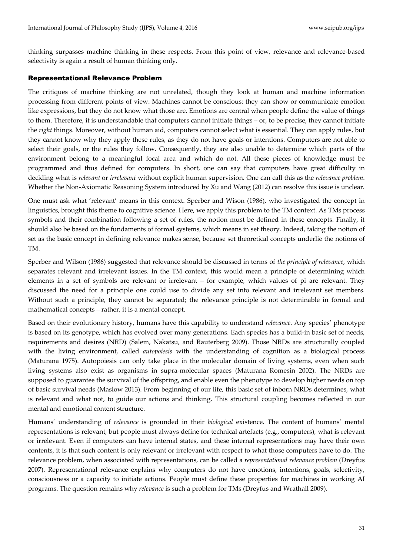thinking surpasses machine thinking in these respects. From this point of view, relevance and relevance-based selectivity is again a result of human thinking only.

#### Representational Relevance Problem

The critiques of machine thinking are not unrelated, though they look at human and machine information processing from different points of view. Machines cannot be conscious: they can show or communicate emotion like expressions, but they do not know what those are. Emotions are central when people define the value of things to them. Therefore, it is understandable that computers cannot initiate things – or, to be precise, they cannot initiate the *right* things. Moreover, without human aid, computers cannot select what is essential. They can apply rules, but they cannot know why they apply these rules, as they do not have goals or intentions. Computers are not able to select their goals, or the rules they follow. Consequently, they are also unable to determine which parts of the environment belong to a meaningful focal area and which do not. All these pieces of knowledge must be programmed and thus defined for computers. In short, one can say that computers have great difficulty in deciding what is *relevant* or *irrelevant* without explicit human supervision. One can call this as the *relevance problem*. Whether the Non-Axiomatic Reasoning System introduced by Xu and Wang (2012) can resolve this issue is unclear.

One must ask what 'relevant' means in this context. Sperber and Wison (1986), who investigated the concept in linguistics, brought this theme to cognitive science. Here, we apply this problem to the TM context. As TMs process symbols and their combination following a set of rules, the notion must be defined in these concepts. Finally, it should also be based on the fundaments of formal systems, which means in set theory. Indeed, taking the notion of set as the basic concept in defining relevance makes sense, because set theoretical concepts underlie the notions of TM.

Sperber and Wilson (1986) suggested that relevance should be discussed in terms of *the principle of relevance*, which separates relevant and irrelevant issues. In the TM context, this would mean a principle of determining which elements in a set of symbols are relevant or irrelevant – for example, which values of pi are relevant. They discussed the need for a principle one could use to divide any set into relevant and irrelevant set members. Without such a principle, they cannot be separated; the relevance principle is not determinable in formal and mathematical concepts – rather, it is a mental concept.

Based on their evolutionary history, humans have this capability to understand *relevance*. Any species' phenotype is based on its genotype, which has evolved over many generations. Each species has a build-in basic set of needs, requirements and desires (NRD) (Salem, Nakatsu, and Rauterberg 2009). Those NRDs are structurally coupled with the living environment, called *autopoiesis* with the understanding of cognition as a biological process (Maturana 1975). Autopoiesis can only take place in the molecular domain of living systems, even when such living systems also exist as organisms in supra-molecular spaces (Maturana Romesin 2002). The NRDs are supposed to guarantee the survival of the offspring, and enable even the phenotype to develop higher needs on top of basic survival needs (Maslow 2013). From beginning of our life, this basic set of inborn NRDs determines, what is relevant and what not, to guide our actions and thinking. This structural coupling becomes reflected in our mental and emotional content structure.

Humans' understanding of *relevance* is grounded in their *biological* existence. The content of humans' mental representations is relevant, but people must always define for technical artefacts (e.g., computers), what is relevant or irrelevant. Even if computers can have internal states, and these internal representations may have their own contents, it is that such content is only relevant or irrelevant with respect to what those computers have to do. The relevance problem, when associated with representations, can be called a *representational relevance problem* (Dreyfus 2007). Representational relevance explains why computers do not have emotions, intentions, goals, selectivity, consciousness or a capacity to initiate actions. People must define these properties for machines in working AI programs. The question remains why *relevance* is such a problem for TMs (Dreyfus and Wrathall 2009).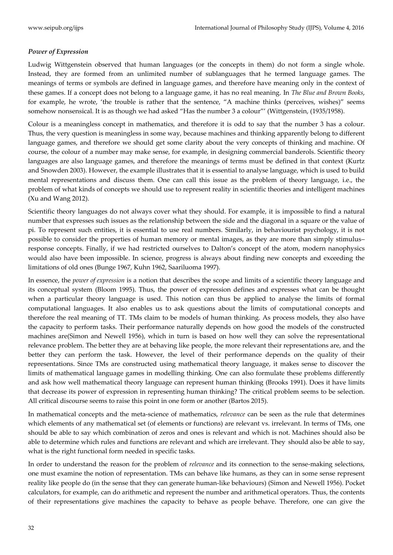## *Power of Expression*

Ludwig Wittgenstein observed that human languages (or the concepts in them) do not form a single whole. Instead, they are formed from an unlimited number of sublanguages that he termed language games. The meanings of terms or symbols are defined in language games, and therefore have meaning only in the context of these games. If a concept does not belong to a language game, it has no real meaning. In *The Blue and Brown Books*, for example, he wrote, 'the trouble is rather that the sentence, 'A machine thinks (perceives, wishes)' seems somehow nonsensical. It is as though we had asked "Has the number 3 a colour"' (Wittgenstein, (1935/1958).

Colour is a meaningless concept in mathematics, and therefore it is odd to say that the number 3 has a colour. Thus, the very question is meaningless in some way, because machines and thinking apparently belong to different language games, and therefore we should get some clarity about the very concepts of thinking and machine. Of course, the colour of a number may make sense, for example, in designing commercial banderols. Scientific theory languages are also language games, and therefore the meanings of terms must be defined in that context (Kurtz and Snowden 2003). However, the example illustrates that it is essential to analyse language, which is used to build mental representations and discuss them. One can call this issue as the problem of theory language, i.e., the problem of what kinds of concepts we should use to represent reality in scientific theories and intelligent machines (Xu and Wang 2012).

Scientific theory languages do not always cover what they should. For example, it is impossible to find a natural number that expresses such issues as the relationship between the side and the diagonal in a square or the value of pi. To represent such entities, it is essential to use real numbers. Similarly, in behaviourist psychology, it is not possible to consider the properties of human memory or mental images, as they are more than simply stimulus– response concepts. Finally, if we had restricted ourselves to Dalton's concept of the atom, modern nanophysics would also have been impossible. In science, progress is always about finding new concepts and exceeding the limitations of old ones (Bunge 1967, Kuhn 1962, Saariluoma 1997).

In essence, the *power of expression* is a notion that describes the scope and limits of a scientific theory language and its conceptual system (Bloom 1995). Thus, the power of expression defines and expresses what can be thought when a particular theory language is used. This notion can thus be applied to analyse the limits of formal computational languages. It also enables us to ask questions about the limits of computational concepts and therefore the real meaning of TT. TMs claim to be models of human thinking. As process models, they also have the capacity to perform tasks. Their performance naturally depends on how good the models of the constructed machines are(Simon and Newell 1956), which in turn is based on how well they can solve the representational relevance problem. The better they are at behaving like people, the more relevant their representations are, and the better they can perform the task. However, the level of their performance depends on the quality of their representations. Since TMs are constructed using mathematical theory language, it makes sense to discover the limits of mathematical language games in modelling thinking. One can also formulate these problems differently and ask how well mathematical theory language can represent human thinking (Brooks 1991). Does it have limits that decrease its power of expression in representing human thinking? The critical problem seems to be selection. All critical discourse seems to raise this point in one form or another (Bartos 2015).

In mathematical concepts and the meta-science of mathematics, *relevance* can be seen as the rule that determines which elements of any mathematical set (of elements or functions) are relevant vs. irrelevant. In terms of TMs, one should be able to say which combination of zeros and ones is relevant and which is not. Machines should also be able to determine which rules and functions are relevant and which are irrelevant. They should also be able to say, what is the right functional form needed in specific tasks.

In order to understand the reason for the problem of *relevance* and its connection to the sense-making selections, one must examine the notion of representation. TMs can behave like humans, as they can in some sense represent reality like people do (in the sense that they can generate human-like behaviours) (Simon and Newell 1956). Pocket calculators, for example, can do arithmetic and represent the number and arithmetical operators. Thus, the contents of their representations give machines the capacity to behave as people behave. Therefore, one can give the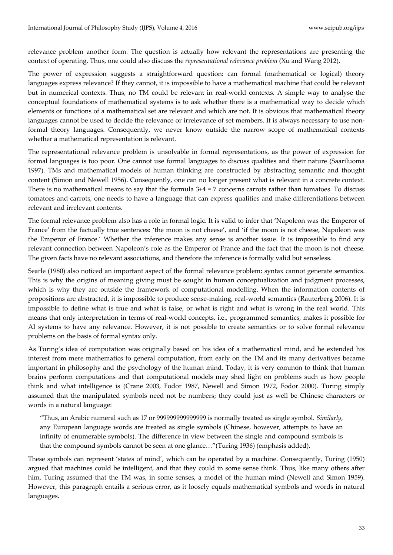relevance problem another form. The question is actually how relevant the representations are presenting the context of operating. Thus, one could also discuss the *representational relevance problem* (Xu and Wang 2012).

The power of expression suggests a straightforward question: can formal (mathematical or logical) theory languages express relevance? If they cannot, it is impossible to have a mathematical machine that could be relevant but in numerical contexts. Thus, no TM could be relevant in real-world contexts. A simple way to analyse the conceptual foundations of mathematical systems is to ask whether there is a mathematical way to decide which elements or functions of a mathematical set are relevant and which are not. It is obvious that mathematical theory languages cannot be used to decide the relevance or irrelevance of set members. It is always necessary to use nonformal theory languages. Consequently, we never know outside the narrow scope of mathematical contexts whether a mathematical representation is relevant.

The representational relevance problem is unsolvable in formal representations, as the power of expression for formal languages is too poor. One cannot use formal languages to discuss qualities and their nature (Saariluoma 1997). TMs and mathematical models of human thinking are constructed by abstracting semantic and thought content (Simon and Newell 1956). Consequently, one can no longer present what is relevant in a concrete context. There is no mathematical means to say that the formula 3+4 = 7 concerns carrots rather than tomatoes. To discuss tomatoes and carrots, one needs to have a language that can express qualities and make differentiations between relevant and irrelevant contents.

The formal relevance problem also has a role in formal logic. It is valid to infer that 'Napoleon was the Emperor of France' from the factually true sentences: 'the moon is not cheese', and 'if the moon is not cheese, Napoleon was the Emperor of France.' Whether the inference makes any sense is another issue. It is impossible to find any relevant connection between Napoleon's role as the Emperor of France and the fact that the moon is not cheese. The given facts have no relevant associations, and therefore the inference is formally valid but senseless.

Searle (1980) also noticed an important aspect of the formal relevance problem: syntax cannot generate semantics. This is why the origins of meaning giving must be sought in human conceptualization and judgment processes, which is why they are outside the framework of computational modelling. When the information contents of propositions are abstracted, it is impossible to produce sense-making, real-world semantics (Rauterberg 2006). It is impossible to define what is true and what is false, or what is right and what is wrong in the real world. This means that only interpretation in terms of real-world concepts, i.e., programmed semantics, makes it possible for AI systems to have any relevance. However, it is not possible to create semantics or to solve formal relevance problems on the basis of formal syntax only.

As Turing's idea of computation was originally based on his idea of a mathematical mind, and he extended his interest from mere mathematics to general computation, from early on the TM and its many derivatives became important in philosophy and the psychology of the human mind. Today, it is very common to think that human brains perform computations and that computational models may shed light on problems such as how people think and what intelligence is (Crane 2003, Fodor 1987, Newell and Simon 1972, Fodor 2000). Turing simply assumed that the manipulated symbols need not be numbers; they could just as well be Chinese characters or words in a natural language:

'Thus, an Arabic numeral such as 17 or 999999999999999 is normally treated as single symbol. *Similarly,*  any European language words are treated as single symbols (Chinese, however, attempts to have an infinity of enumerable symbols). The difference in view between the single and compound symbols is that the compound symbols cannot be seen at one glance..."(Turing 1936) (emphasis added).

These symbols can represent 'states of mind', which can be operated by a machine. Consequently, Turing (1950) argued that machines could be intelligent, and that they could in some sense think. Thus, like many others after him, Turing assumed that the TM was, in some senses, a model of the human mind (Newell and Simon 1959). However, this paragraph entails a serious error, as it loosely equals mathematical symbols and words in natural languages.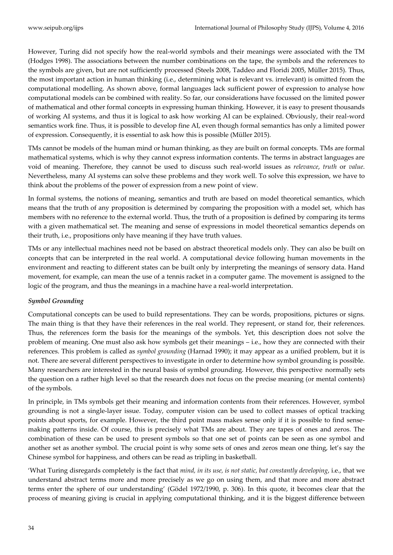However, Turing did not specify how the real-world symbols and their meanings were associated with the TM (Hodges 1998). The associations between the number combinations on the tape, the symbols and the references to the symbols are given, but are not sufficiently processed (Steels 2008, Taddeo and Floridi 2005, Müller 2015). Thus, the most important action in human thinking (i.e., determining what is relevant vs. irrelevant) is omitted from the computational modelling. As shown above, formal languages lack sufficient power of expression to analyse how computational models can be combined with reality. So far, our considerations have focussed on the limited power of mathematical and other formal concepts in expressing human thinking. However, it is easy to present thousands of working AI systems, and thus it is logical to ask how working AI can be explained. Obviously, their real-word semantics work fine. Thus, it is possible to develop fine AI, even though formal semantics has only a limited power of expression. Consequently, it is essential to ask how this is possible (Müller 2015).

TMs cannot be models of the human mind or human thinking, as they are built on formal concepts. TMs are formal mathematical systems, which is why they cannot express information contents. The terms in abstract languages are void of meaning. Therefore, they cannot be used to discuss such real-world issues as *relevance*, *truth* or *value*. Nevertheless, many AI systems can solve these problems and they work well. To solve this expression, we have to think about the problems of the power of expression from a new point of view.

In formal systems, the notions of meaning, semantics and truth are based on model theoretical semantics, which means that the truth of any proposition is determined by comparing the proposition with a model set, which has members with no reference to the external world. Thus, the truth of a proposition is defined by comparing its terms with a given mathematical set. The meaning and sense of expressions in model theoretical semantics depends on their truth, i.e., propositions only have meaning if they have truth values.

TMs or any intellectual machines need not be based on abstract theoretical models only. They can also be built on concepts that can be interpreted in the real world. A computational device following human movements in the environment and reacting to different states can be built only by interpreting the meanings of sensory data. Hand movement, for example, can mean the use of a tennis racket in a computer game. The movement is assigned to the logic of the program, and thus the meanings in a machine have a real-world interpretation.

## *Symbol Grounding*

Computational concepts can be used to build representations. They can be words, propositions, pictures or signs. The main thing is that they have their references in the real world. They represent, or stand for, their references. Thus, the references form the basis for the meanings of the symbols. Yet, this description does not solve the problem of meaning. One must also ask how symbols get their meanings – i.e., how they are connected with their references. This problem is called as *symbol grounding* (Harnad 1990); it may appear as a unified problem, but it is not. There are several different perspectives to investigate in order to determine how symbol grounding is possible. Many researchers are interested in the neural basis of symbol grounding. However, this perspective normally sets the question on a rather high level so that the research does not focus on the precise meaning (or mental contents) of the symbols.

In principle, in TMs symbols get their meaning and information contents from their references. However, symbol grounding is not a single-layer issue. Today, computer vision can be used to collect masses of optical tracking points about sports, for example. However, the third point mass makes sense only if it is possible to find sensemaking patterns inside. Of course, this is precisely what TMs are about. They are tapes of ones and zeros. The combination of these can be used to present symbols so that one set of points can be seen as one symbol and another set as another symbol. The crucial point is why some sets of ones and zeros mean one thing, let's say the Chinese symbol for happiness, and others can be read as tripling in basketball.

'What Turing disregards completely is the fact that *mind, in its use, is not static, but constantly developing*, i.e., that we understand abstract terms more and more precisely as we go on using them, and that more and more abstract terms enter the sphere of our understanding' (Gödel 1972/1990, p. 306). In this quote, it becomes clear that the process of meaning giving is crucial in applying computational thinking, and it is the biggest difference between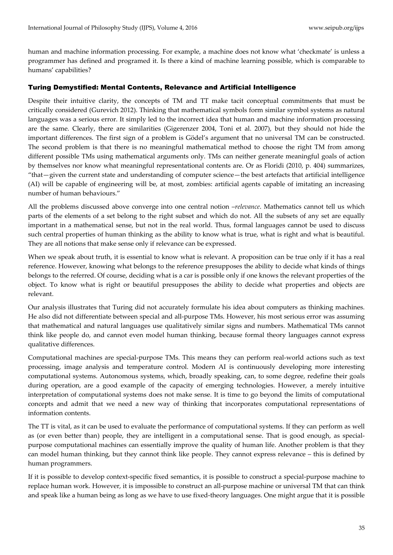human and machine information processing. For example, a machine does not know what 'checkmate' is unless a programmer has defined and programed it. Is there a kind of machine learning possible, which is comparable to humans' capabilities?

## Turing Demystified: Mental Contents, Relevance and Artificial Intelligence

Despite their intuitive clarity, the concepts of TM and TT make tacit conceptual commitments that must be critically considered (Gurevich 2012). Thinking that mathematical symbols form similar symbol systems as natural languages was a serious error. It simply led to the incorrect idea that human and machine information processing are the same. Clearly, there are similarities (Gigerenzer 2004, Toni et al. 2007), but they should not hide the important differences. The first sign of a problem is Gödel's argument that no universal TM can be constructed. The second problem is that there is no meaningful mathematical method to choose the right TM from among different possible TMs using mathematical arguments only. TMs can neither generate meaningful goals of action by themselves nor know what meaningful representational contents are. Or as Floridi (2010, p. 404) summarizes, 'that—given the current state and understanding of computer science—the best artefacts that artificial intelligence (AI) will be capable of engineering will be, at most, zombies: artificial agents capable of imitating an increasing number of human behaviours.'

All the problems discussed above converge into one central notion –*relevance*. Mathematics cannot tell us which parts of the elements of a set belong to the right subset and which do not. All the subsets of any set are equally important in a mathematical sense, but not in the real world. Thus, formal languages cannot be used to discuss such central properties of human thinking as the ability to know what is true, what is right and what is beautiful. They are all notions that make sense only if relevance can be expressed.

When we speak about truth, it is essential to know what is relevant. A proposition can be true only if it has a real reference. However, knowing what belongs to the reference presupposes the ability to decide what kinds of things belongs to the referred. Of course, deciding what is a car is possible only if one knows the relevant properties of the object. To know what is right or beautiful presupposes the ability to decide what properties and objects are relevant.

Our analysis illustrates that Turing did not accurately formulate his idea about computers as thinking machines. He also did not differentiate between special and all-purpose TMs. However, his most serious error was assuming that mathematical and natural languages use qualitatively similar signs and numbers. Mathematical TMs cannot think like people do, and cannot even model human thinking, because formal theory languages cannot express qualitative differences.

Computational machines are special-purpose TMs. This means they can perform real-world actions such as text processing, image analysis and temperature control. Modern AI is continuously developing more interesting computational systems. Autonomous systems, which, broadly speaking, can, to some degree, redefine their goals during operation, are a good example of the capacity of emerging technologies. However, a merely intuitive interpretation of computational systems does not make sense. It is time to go beyond the limits of computational concepts and admit that we need a new way of thinking that incorporates computational representations of information contents.

The TT is vital, as it can be used to evaluate the performance of computational systems. If they can perform as well as (or even better than) people, they are intelligent in a computational sense. That is good enough, as specialpurpose computational machines can essentially improve the quality of human life. Another problem is that they can model human thinking, but they cannot think like people. They cannot express relevance – this is defined by human programmers.

If it is possible to develop context-specific fixed semantics, it is possible to construct a special-purpose machine to replace human work. However, it is impossible to construct an all-purpose machine or universal TM that can think and speak like a human being as long as we have to use fixed-theory languages. One might argue that it is possible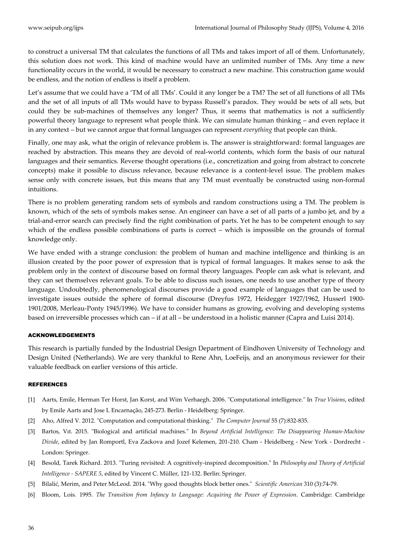to construct a universal TM that calculates the functions of all TMs and takes import of all of them. Unfortunately, this solution does not work. This kind of machine would have an unlimited number of TMs. Any time a new functionality occurs in the world, it would be necessary to construct a new machine. This construction game would be endless, and the notion of endless is itself a problem.

Let's assume that we could have a 'TM of all TMs'. Could it any longer be a TM? The set of all functions of all TMs and the set of all inputs of all TMs would have to bypass Russell's paradox. They would be sets of all sets, but could they be sub-machines of themselves any longer? Thus, it seems that mathematics is not a sufficiently powerful theory language to represent what people think. We can simulate human thinking – and even replace it in any context – but we cannot argue that formal languages can represent *everything* that people can think.

Finally, one may ask, what the origin of relevance problem is. The answer is straightforward: formal languages are reached by abstraction. This means they are devoid of real-world contents, which form the basis of our natural languages and their semantics. Reverse thought operations (i.e., concretization and going from abstract to concrete concepts) make it possible to discuss relevance, because relevance is a content-level issue. The problem makes sense only with concrete issues, but this means that any TM must eventually be constructed using non-formal intuitions.

There is no problem generating random sets of symbols and random constructions using a TM. The problem is known, which of the sets of symbols makes sense. An engineer can have a set of all parts of a jumbo jet, and by a trial-and-error search can precisely find the right combination of parts. Yet he has to be competent enough to say which of the endless possible combinations of parts is correct – which is impossible on the grounds of formal knowledge only.

We have ended with a strange conclusion: the problem of human and machine intelligence and thinking is an illusion created by the poor power of expression that is typical of formal languages. It makes sense to ask the problem only in the context of discourse based on formal theory languages. People can ask what is relevant, and they can set themselves relevant goals. To be able to discuss such issues, one needs to use another type of theory language. Undoubtedly, phenomenological discourses provide a good example of languages that can be used to investigate issues outside the sphere of formal discourse (Dreyfus 1972, Heidegger 1927/1962, Husserl 1900- 1901/2008, Merleau-Ponty 1945/1996). We have to consider humans as growing, evolving and developing systems based on irreversible processes which can – if at all – be understood in a holistic manner (Capra and Luisi 2014).

#### ACKNOWLEDGEMENTS

This research is partially funded by the Industrial Design Department of Eindhoven University of Technology and Design United (Netherlands). We are very thankful to Rene Ahn, LoeFeijs, and an anonymous reviewer for their valuable feedback on earlier versions of this article.

#### REFERENCES

- [1] Aarts, Emile, Herman Ter Horst, Jan Korst, and Wim Verhaegh. 2006. "Computational intelligence." In *True Visions*, edited by Emile Aarts and Jose L Encarnação, 245-273. Berlin - Heidelberg: Springer.
- [2] Aho, Alfred V. 2012. "Computation and computational thinking." *The Computer Journal* 55 (7):832-835.
- [3] Bartos, Vıt. 2015. "Biological and artificial machines." In *Beyond Artificial Intelligence: The Disappearing Human-Machine Divide*, edited by Jan Romportl, Eva Zackova and Jozef Kelemen, 201-210. Cham - Heidelberg - New York - Dordrecht - London: Springer.
- [4] Besold, Tarek Richard. 2013. "Turing revisited: A cognitively-inspired decomposition." In *Philosophy and Theory of Artificial Intelligence - SAPERE 5*, edited by Vincent C. Müller, 121-132. Berlin: Springer.
- [5] Bilalić, Merim, and Peter McLeod. 2014. "Why good thoughts block better ones." *Scientific American* 310 (3):74-79.
- [6] Bloom, Lois. 1995. *The Transition from Infancy to Language: Acquiring the Power of Expression*. Cambridge: Cambridge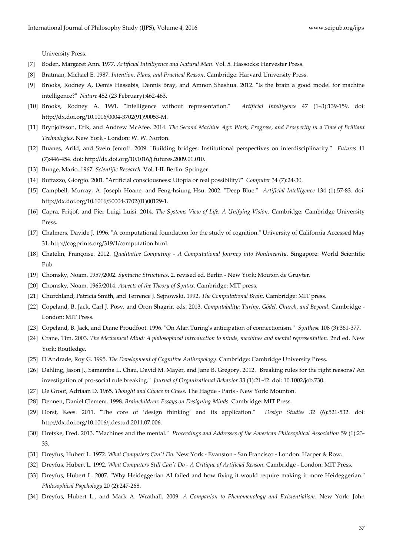University Press.

- [7] Boden, Margaret Ann. 1977. *Artificial Intelligence and Natural Man*. Vol. 5. Hassocks: Harvester Press.
- [8] Bratman, Michael E. 1987. *Intention, Plans, and Practical Reason*. Cambridge: Harvard University Press.
- [9] Brooks, Rodney A, Demis Hassabis, Dennis Bray, and Amnon Shashua. 2012. "Is the brain a good model for machine intelligence?" *Nature* 482 (23 February):462-463.
- [10] Brooks, Rodney A. 1991. "Intelligence without representation." *Artificial Intelligence* 47 (1–3):139-159. doi: http://dx.doi.org/10.1016/0004-3702(91)90053-M.
- [11] Brynjolfsson, Erik, and Andrew McAfee. 2014. *The Second Machine Age: Work, Progress, and Prosperity in a Time of Brilliant Technologies*. New York - London: W. W. Norton.
- [12] Buanes, Arild, and Svein Jentoft. 2009. "Building bridges: Institutional perspectives on interdisciplinarity." *Futures* 41 (7):446-454. doi: http://dx.doi.org/10.1016/j.futures.2009.01.010.
- [13] Bunge, Mario. 1967. *Scientific Research*. Vol. I-II. Berlin: Springer
- [14] Buttazzo, Giorgio. 2001. "Artificial consciousness: Utopia or real possibility?" *Computer* 34 (7):24-30.
- [15] Campbell, Murray, A. Joseph Hoane, and Feng-hsiung Hsu. 2002. "Deep Blue." *Artificial Intelligence* 134 (1):57-83. doi: http://dx.doi.org/10.1016/S0004-3702(01)00129-1.
- [16] Capra, Fritjof, and Pier Luigi Luisi. 2014. *The Systems View of Life: A Unifying Vision*. Cambridge: Cambridge University Press.
- [17] Chalmers, Davide J. 1996. "A computational foundation for the study of cognition." University of California Accessed May 31. http://cogprints.org/319/1/computation.html.
- [18] Chatelin, Françoise. 2012. *Qualitative Computing - A Computational Journey into Nonlinearity*. Singapore: World Scientific Pub.
- [19] Chomsky, Noam. 1957/2002. *Syntactic Structures*. 2, revised ed. Berlin New York: Mouton de Gruyter.
- [20] Chomsky, Noam. 1965/2014. *Aspects of the Theory of Syntax*. Cambridge: MIT press.
- [21] Churchland, Patricia Smith, and Terrence J. Sejnowski. 1992. *The Computational Brain*. Cambridge: MIT press.
- [22] Copeland, B. Jack, Carl J. Posy, and Oron Shagrir, eds. 2013. *Computability: Turing, Gödel, Church, and Beyond*. Cambridge London: MIT Press.
- [23] Copeland, B. Jack, and Diane Proudfoot. 1996. "On Alan Turing's anticipation of connectionism." *Synthese* 108 (3):361-377.
- [24] Crane, Tim. 2003. *The Mechanical Mind: A philosophical introduction to minds, machines and mental representation*. 2nd ed. New York: Routledge.
- [25] D'Andrade, Roy G. 1995. *The Development of Cognitive Anthropology*. Cambridge: Cambridge University Press.
- [26] Dahling, Jason J., Samantha L. Chau, David M. Mayer, and Jane B. Gregory. 2012. "Breaking rules for the right reasons? An investigation of pro-social rule breaking." *Journal of Organizational Behavior* 33 (1):21-42. doi: 10.1002/job.730.
- [27] De Groot, Adriaan D. 1965. *Thought and Choice in Chess*. The Hague Paris New York: Mounton.
- [28] Dennett, Daniel Clement. 1998. *Brainchildren: Essays on Designing Minds*. Cambridge: MIT Press.
- [29] Dorst, Kees. 2011. "The core of 'design thinking' and its application." *Design Studies* 32 (6):521-532. doi: http://dx.doi.org/10.1016/j.destud.2011.07.006.
- [30] Dretske, Fred. 2013. "Machines and the mental." *Proceedings and Addresses of the American Philosophical Association* 59 (1):23- 33.
- [31] Dreyfus, Hubert L. 1972. *What Computers Can't Do*. New York Evanston San Francisco London: Harper & Row.
- [32] Dreyfus, Hubert L. 1992. *What Computers Still Can't Do - A Critique of Artificial Reason*. Cambridge London: MIT Press.
- [33] Dreyfus, Hubert L. 2007. "Why Heideggerian AI failed and how fixing it would require making it more Heideggerian." *Philosophical Psychology* 20 (2):247-268.
- [34] Dreyfus, Hubert L., and Mark A. Wrathall. 2009. *A Companion to Phenomenology and Existentialism*. New York: John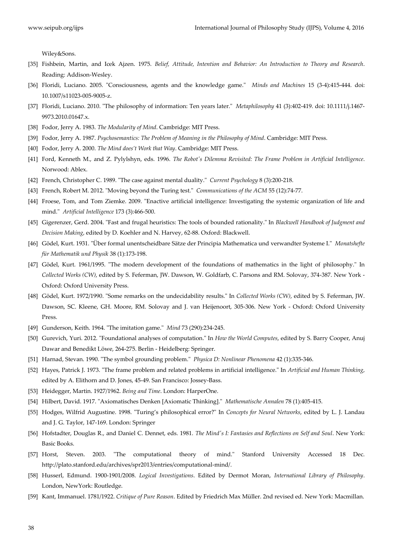Wiley&Sons.

- [35] Fishbein, Martin, and Icek Ajzen. 1975. *Belief, Attitude, Intention and Behavior: An Introduction to Theory and Research*. Reading: Addison-Wesley.
- [36] Floridi, Luciano. 2005. "Consciousness, agents and the knowledge game." *Minds and Machines* 15 (3-4):415-444. doi: 10.1007/s11023-005-9005-z.
- [37] Floridi, Luciano. 2010. "The philosophy of information: Ten years later." *Metaphilosophy* 41 (3):402-419. doi: 10.1111/j.1467- 9973.2010.01647.x.
- [38] Fodor, Jerry A. 1983. *The Modularity of Mind*. Cambridge: MIT Press.
- [39] Fodor, Jerry A. 1987. *Psychosemantics: The Problem of Meaning in the Philosophy of Mind*. Cambridge: MIT Press.
- [40] Fodor, Jerry A. 2000. *The Mind does't Work that Way*. Cambridge: MIT Press.
- [41] Ford, Kenneth M., and Z. Pylylshyn, eds. 1996. *The Robot's Dilemma Revisited: The Frame Problem in Artificial Intelligence*. Norwood: Ablex.
- [42] French, Christopher C. 1989. "The case against mental duality." *Current Psychology* 8 (3):200-218.
- [43] French, Robert M. 2012. "Moving beyond the Turing test." *Communications of the ACM* 55 (12):74-77.
- [44] Froese, Tom, and Tom Ziemke. 2009. "Enactive artificial intelligence: Investigating the systemic organization of life and mind." *Artificial Intelligence* 173 (3):466-500.
- [45] Gigerenzer, Gerd. 2004. "Fast and frugal heuristics: The tools of bounded rationality." In *Blackwell Handbook of Judgment and Decision Making*, edited by D. Koehler and N. Harvey, 62-88. Oxford: Blackwell.
- [46] Gödel, Kurt. 1931. "Ü ber formal unentscheidbare Sätze der Principia Mathematica und verwandter Systeme I." *Monatshefte für Mathematik und Physik* 38 (1):173-198.
- [47] Gödel, Kurt. 1961/1995. "The modern development of the foundations of mathematics in the light of philosophy." In *Collected Works (CW)*, edited by S. Feferman, JW. Dawson, W. Goldfarb, C. Parsons and RM. Solovay, 374-387. New York - Oxford: Oxford University Press.
- [48] Gödel, Kurt. 1972/1990. "Some remarks on the undecidability results." In *Collected Works (CW)*, edited by S. Feferman, JW. Dawson, SC. Kleene, GH. Moore, RM. Solovay and J. van Heijenoort, 305-306. New York - Oxford: Oxford University Press.
- [49] Gunderson, Keith. 1964. "The imitation game." *Mind* 73 (290):234-245.
- [50] Gurevich, Yuri. 2012. "Foundational analyses of computation." In *How the World Computes*, edited by S. Barry Cooper, Anuj Dawar and Benedikt Löwe, 264-275. Berlin - Heidelberg: Springer.
- [51] Harnad, Stevan. 1990. "The symbol grounding problem." *Physica D: Nonlinear Phenomena* 42 (1):335-346.
- [52] Hayes, Patrick J. 1973. "The frame problem and related problems in artificial intelligence." In *Artificial and Human Thinking*, edited by A. Elithorn and D. Jones, 45-49. San Francisco: Jossey-Bass.
- [53] Heidegger, Martin. 1927/1962. *Being and Time*. London: HarperOne.
- [54] Hilbert, David. 1917. "Axiomatisches Denken [Axiomatic Thinking]." *Mathematische Annalen* 78 (1):405-415.
- [55] Hodges, Wilfrid Augustine. 1998. "Turing's philosophical error?" In *Concepts for Neural Networks*, edited by L. J. Landau and J. G. Taylor, 147-169. London: Springer
- [56] Hofstadter, Douglas R., and Daniel C. Dennet, eds. 1981. *The Mind's I: Fantasies and Reflections on Self and Soul*. New York: Basic Books.
- [57] Horst, Steven. 2003. "The computational theory of mind." Stanford University Accessed 18 Dec. http://plato.stanford.edu/archives/spr2013/entries/computational-mind/.
- [58] Husserl, Edmund. 1900-1901/2008. *Logical Investigations*. Edited by Dermot Moran, *International Library of Philosophy*. London, NewYork: Routledge.
- [59] Kant, Immanuel. 1781/1922. *Critique of Pure Reason*. Edited by Friedrich Max Müller. 2nd revised ed. New York: Macmillan.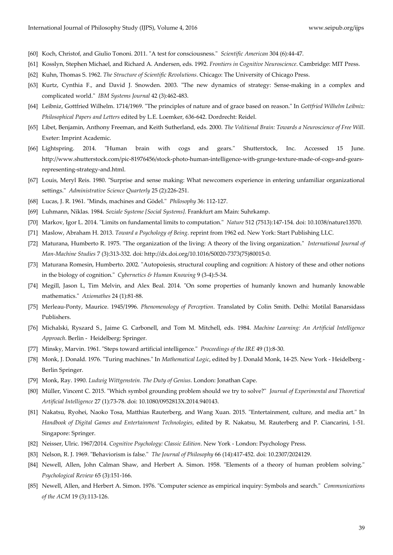- [60] Koch, Christof, and Giulio Tononi. 2011. "A test for consciousness." *Scientific American* 304 (6):44-47.
- [61] Kosslyn, Stephen Michael, and Richard A. Andersen, eds. 1992. *Frontiers in Cognitive Neuroscience*. Cambridge: MIT Press.
- [62] Kuhn, Thomas S. 1962. *The Structure of Scientific Revolutions*. Chicago: The University of Chicago Press.
- [63] Kurtz, Cynthia F., and David J. Snowden. 2003. "The new dynamics of strategy: Sense-making in a complex and complicated world." *IBM Systems Journal* 42 (3):462-483.
- [64] Leibniz, Gottfried Wilhelm. 1714/1969. "The principles of nature and of grace based on reason." In *Gottfried Wilhelm Leibniz: Philosophical Papers and Letters* edited by L.E. Loemker, 636-642. Dordrecht: Reidel.
- [65] Libet, Benjamin, Anthony Freeman, and Keith Sutherland, eds. 2000. *The Volitional Brain: Towards a Neuroscience of Free Will*. Exeter: Imprint Academic.
- [66] Lightspring. 2014. "Human brain with cogs and gears." Shutterstock, Inc. Accessed 15 June. http://www.shutterstock.com/pic-81976456/stock-photo-human-intelligence-with-grunge-texture-made-of-cogs-and-gearsrepresenting-strategy-and.html.
- [67] Louis, Meryl Reis. 1980. "Surprise and sense making: What newcomers experience in entering unfamiliar organizational settings." *Administrative Science Quarterly* 25 (2):226-251.
- [68] Lucas, J. R. 1961. "Minds, machines and Gödel." *Philosophy* 36: 112-127.
- [69] Luhmann, Niklas. 1984. *Soziale Systeme [Social Systems]*. Frankfurt am Main: Suhrkamp.
- [70] Markov, Igor L. 2014. "Limits on fundamental limits to computation." *Nature* 512 (7513):147-154. doi: 10.1038/nature13570.
- [71] Maslow, Abraham H. 2013. *Toward a Psychology of Being*. reprint from 1962 ed. New York: Start Publishing LLC.
- [72] Maturana, Humberto R. 1975. "The organization of the living: A theory of the living organization." *International Journal of Man-Machine Studies* 7 (3):313-332. doi: http://dx.doi.org/10.1016/S0020-7373(75)80015-0.
- [73] Maturana Romesin, Humberto. 2002. "Autopoiesis, structural coupling and cognition: A history of these and other notions in the biology of cognition." *Cybernetics & Human Knowing* 9 (3-4):5-34.
- [74] Megill, Jason L, Tim Melvin, and Alex Beal. 2014. "On some properties of humanly known and humanly knowable mathematics." *Axiomathes* 24 (1):81-88.
- [75] Merleau-Ponty, Maurice. 1945/1996. *Phenomenology of Perception*. Translated by Colin Smith. Delhi: Motilal Banarsidass Publishers.
- [76] Michalski, Ryszard S., Jaime G. Carbonell, and Tom M. Mitchell, eds. 1984. *Machine Learning: An Artificial Intelligence Approach*. Berlin - Heidelberg: Springer.
- [77] Minsky, Marvin. 1961. "Steps toward artificial intelligence." *Proceedings of the IRE* 49 (1):8-30.
- [78] Monk, J. Donald. 1976. "Turing machines." In *Mathematical Logic*, edited by J. Donald Monk, 14-25. New York Heidelberg Berlin Springer.
- [79] Monk, Ray. 1990. *Ludwig Wittgenstein. The Duty of Genius*. London: Jonathan Cape.
- [80] Müller, Vincent C. 2015. "Which symbol grounding problem should we try to solve?" *Journal of Experimental and Theoretical Artificial Intelligence* 27 (1):73-78. doi: 10.1080/0952813X.2014.940143.
- [81] Nakatsu, Ryohei, Naoko Tosa, Matthias Rauterberg, and Wang Xuan. 2015. "Entertainment, culture, and media art." In *Handbook of Digital Games and Entertainment Technologies*, edited by R. Nakatsu, M. Rauterberg and P. Ciancarini, 1-51. Singapore: Springer.
- [82] Neisser, Ulric. 1967/2014. *Cognitive Psychology: Classic Edition*. New York London: Psychology Press.
- [83] Nelson, R. J. 1969. "Behaviorism is false." *The Journal of Philosophy* 66 (14):417-452. doi: 10.2307/2024129.
- [84] Newell, Allen, John Calman Shaw, and Herbert A. Simon. 1958. "Elements of a theory of human problem solving." *Psychological Review* 65 (3):151-166.
- [85] Newell, Allen, and Herbert A. Simon. 1976. "Computer science as empirical inquiry: Symbols and search." *Communications of the ACM* 19 (3):113-126.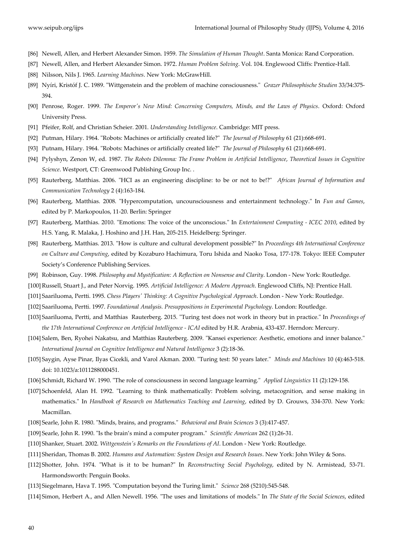- [86] Newell, Allen, and Herbert Alexander Simon. 1959. *The Simulation of Human Thought*. Santa Monica: Rand Corporation.
- [87] Newell, Allen, and Herbert Alexander Simon. 1972. *Human Problem Solving*. Vol. 104. Englewood Cliffs: Prentice-Hall.
- [88] Nilsson, Nils J. 1965. *Learning Machines*. New York: McGrawHill.
- [89] Nyíri, Kristóf J. C. 1989. "Wittgenstein and the problem of machine consciousness." *Grazer Philosophische Studien* 33/34:375- 394.
- [90] Penrose, Roger. 1999. *The Emperor's New Mind: Concerning Computers, Minds, and the Laws of Physics*. Oxford: Oxford University Press.
- [91] Pfeifer, Rolf, and Christian Scheier. 2001. *Understanding Intelligence*. Cambridge: MIT press.
- [92] Putman, Hilary. 1964. "Robots: Machines or artificially created life?" *The Journal of Philosophy* 61 (21):668-691.
- [93] Putnam, Hilary. 1964. "Robots: Machines or artificially created life?" *The Journal of Philosophy* 61 (21):668-691.
- [94] Pylyshyn, Zenon W, ed. 1987. *The Robots Dilemma: The Frame Problem in Artificial Intelligence*, *Theoretical Issues in Cognitive Science*. Westport, CT: Greenwood Publishing Group Inc. .
- [95] Rauterberg, Matthias. 2006. "HCI as an engineering discipline: to be or not to be!?" *African Journal of Information and Communication Technology* 2 (4):163-184.
- [96] Rauterberg, Matthias. 2008. "Hypercomputation, uncounsciousness and entertainment technology." In *Fun and Games*, edited by P. Markopoulos, 11-20. Berlin: Springer
- [97] Rauterberg, Matthias. 2010. "Emotions: The voice of the unconscious." In *Entertainment Computing - ICEC 2010*, edited by H.S. Yang, R. Malaka, J. Hoshino and J.H. Han, 205-215. Heidelberg: Springer.
- [98] Rauterberg, Matthias. 2013. "How is culture and cultural development possible?" In *Proceedings 4th International Conference on Culture and Computing*, edited by Kozaburo Hachimura, Toru Ishida and Naoko Tosa, 177-178. Tokyo: IEEE Computer Society's Conference Publishing Services.
- [99] Robinson, Guy. 1998. *Philosophy and Mystification: A Reflection on Nonsense and Clarity*. London New York: Routledge.
- [100]Russell, Stuart J., and Peter Norvig. 1995. *Artificial Intelligence: A Modern Approach*. Englewood Cliffs, NJ: Prentice Hall.
- [101] Saariluoma, Pertti. 1995. *Chess Players' Thinking: A Cognitive Psychological Approach*. London New York: Routledge.
- [102] Saariluoma, Pertti. 1997. *Foundational Analysis. Presuppositions in Experimental Psychology*. London: Routledge.
- [103] Saariluoma, Pertti, and Matthias Rauterberg. 2015. "Turing test does not work in theory but in practice." In *Proceedings of the 17th International Conference on Artificial Intelligence - ICAI* edited by H.R. Arabnia, 433-437. Herndon: Mercury.
- [104] Salem, Ben, Ryohei Nakatsu, and Matthias Rauterberg. 2009. "Kansei experience: Aesthetic, emotions and inner balance." *International Journal on Cognitive Intelligence and Natural Intelligence* 3 (2):18-36.
- [105] Saygin, Ayse Pinar, Ilyas Cicekli, and Varol Akman. 2000. "Turing test: 50 years later." *Minds and Machines* 10 (4):463-518. doi: 10.1023/a:1011288000451.
- [106] Schmidt, Richard W. 1990. "The role of consciousness in second language learning." *Applied Linguistics* 11 (2):129-158.
- [107] Schoenfeld, Alan H. 1992. "Learning to think mathematically: Problem solving, metacognition, and sense making in mathematics." In *Handbook of Research on Mathematics Teaching and Learning*, edited by D. Grouws, 334-370. New York: Macmillan.
- [108] Searle, John R. 1980. "Minds, brains, and programs." *Behavioral and Brain Sciences* 3 (3):417-457.
- [109] Searle, John R. 1990. "Is the brain's mind a computer program." *Scientific American* 262 (1):26-31.
- [110] Shanker, Stuart. 2002. *Wittgenstein's Remarks on the Foundations of AI*. London New York: Routledge.
- [111] Sheridan, Thomas B. 2002. *Humans and Automation: System Design and Research Issues*. New York: John Wiley & Sons.
- [112] Shotter, John. 1974. "What is it to be human?" In *Reconstructing Social Psychology*, edited by N. Armistead, 53-71. Harmondsworth: Penguin Books.
- [113] Siegelmann, Hava T. 1995. "Computation beyond the Turing limit." *Science* 268 (5210):545-548.
- [114] Simon, Herbert A., and Allen Newell. 1956. "The uses and limitations of models." In *The State of the Social Sciences*, edited